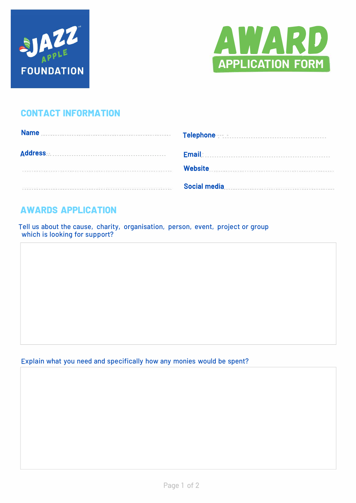



# **CONTACT INFORMATION**

| <b>Name</b> | Telephone <b>Manual Manual Property Research Property</b> |
|-------------|-----------------------------------------------------------|
| Address     | <b>Email</b>                                              |
|             | <b>Website</b>                                            |
|             | <b>Social media</b>                                       |

# **AWARDS APPLICATION**

Tell us about the cause, charity, organisation, person, event, project or group which is looking for support?

Explain what you need and specifically how any monies would be spent?